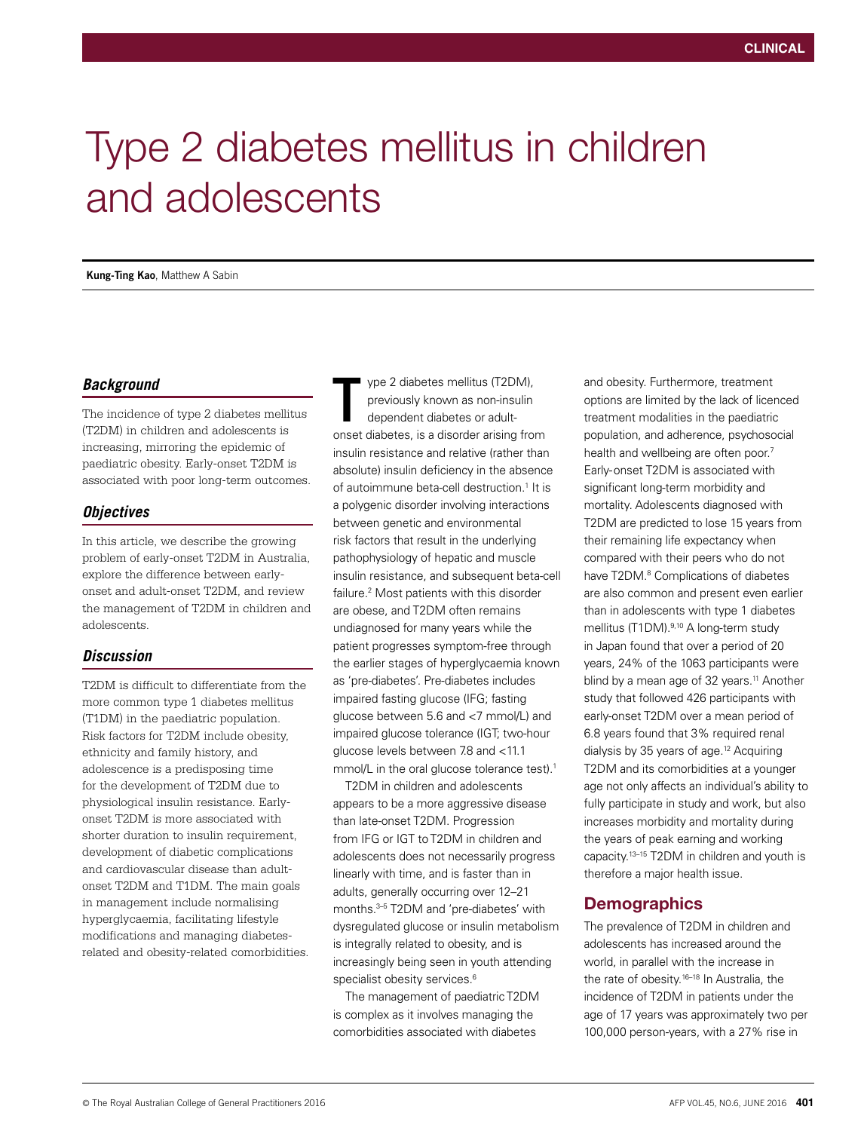# Type 2 diabetes mellitus in children and adolescents

**Kung-Ting Kao**, Matthew A Sabin

## *Background*

The incidence of type 2 diabetes mellitus (T2DM) in children and adolescents is increasing, mirroring the epidemic of paediatric obesity. Early-onset T2DM is associated with poor long-term outcomes.

## *Objectives*

In this article, we describe the growing problem of early-onset T2DM in Australia, explore the difference between earlyonset and adult-onset T2DM, and review the management of T2DM in children and adolescents.

### *Discussion*

T2DM is difficult to differentiate from the more common type 1 diabetes mellitus (T1DM) in the paediatric population. Risk factors for T2DM include obesity, ethnicity and family history, and adolescence is a predisposing time for the development of T2DM due to physiological insulin resistance. Earlyonset T2DM is more associated with shorter duration to insulin requirement, development of diabetic complications and cardiovascular disease than adultonset T2DM and T1DM. The main goals in management include normalising hyperglycaemia, facilitating lifestyle modifications and managing diabetesrelated and obesity-related comorbidities.

ype 2 diabetes mellitus (T2DM), previously known as non-insulin dependent diabetes or adultonset diabetes, is a disorder arising from insulin resistance and relative (rather than absolute) insulin deficiency in the absence of autoimmune beta-cell destruction.<sup>1</sup> It is a polygenic disorder involving interactions between genetic and environmental risk factors that result in the underlying pathophysiology of hepatic and muscle insulin resistance, and subsequent beta-cell failure.2 Most patients with this disorder are obese, and T2DM often remains undiagnosed for many years while the patient progresses symptom-free through the earlier stages of hyperglycaemia known as 'pre-diabetes'. Pre-diabetes includes impaired fasting glucose (IFG; fasting glucose between 5.6 and <7 mmol/L) and impaired glucose tolerance (IGT; two-hour glucose levels between 7.8 and <11.1 mmol/L in the oral glucose tolerance test).<sup>1</sup> T

T2DM in children and adolescents appears to be a more aggressive disease than late-onset T2DM. Progression from IFG or IGT to T2DM in children and adolescents does not necessarily progress linearly with time, and is faster than in adults, generally occurring over 12–21 months.3–5 T2DM and 'pre-diabetes' with dysregulated glucose or insulin metabolism is integrally related to obesity, and is increasingly being seen in youth attending specialist obesity services.<sup>6</sup>

The management of paediatric T2DM is complex as it involves managing the comorbidities associated with diabetes

and obesity. Furthermore, treatment options are limited by the lack of licenced treatment modalities in the paediatric population, and adherence, psychosocial health and wellbeing are often poor.<sup>7</sup> Early-onset T2DM is associated with significant long-term morbidity and mortality. Adolescents diagnosed with T2DM are predicted to lose 15 years from their remaining life expectancy when compared with their peers who do not have T2DM.<sup>8</sup> Complications of diabetes are also common and present even earlier than in adolescents with type 1 diabetes mellitus (T1DM).<sup>9,10</sup> A long-term study in Japan found that over a period of 20 years, 24% of the 1063 participants were blind by a mean age of 32 years.<sup>11</sup> Another study that followed 426 participants with early-onset T2DM over a mean period of 6.8 years found that 3% required renal dialysis by 35 years of age.12 Acquiring T2DM and its comorbidities at a younger age not only affects an individual's ability to fully participate in study and work, but also increases morbidity and mortality during the years of peak earning and working capacity.13–15 T2DM in children and youth is therefore a major health issue.

# **Demographics**

The prevalence of T2DM in children and adolescents has increased around the world, in parallel with the increase in the rate of obesity.16–18 In Australia, the incidence of T2DM in patients under the age of 17 years was approximately two per 100,000 person-years, with a 27% rise in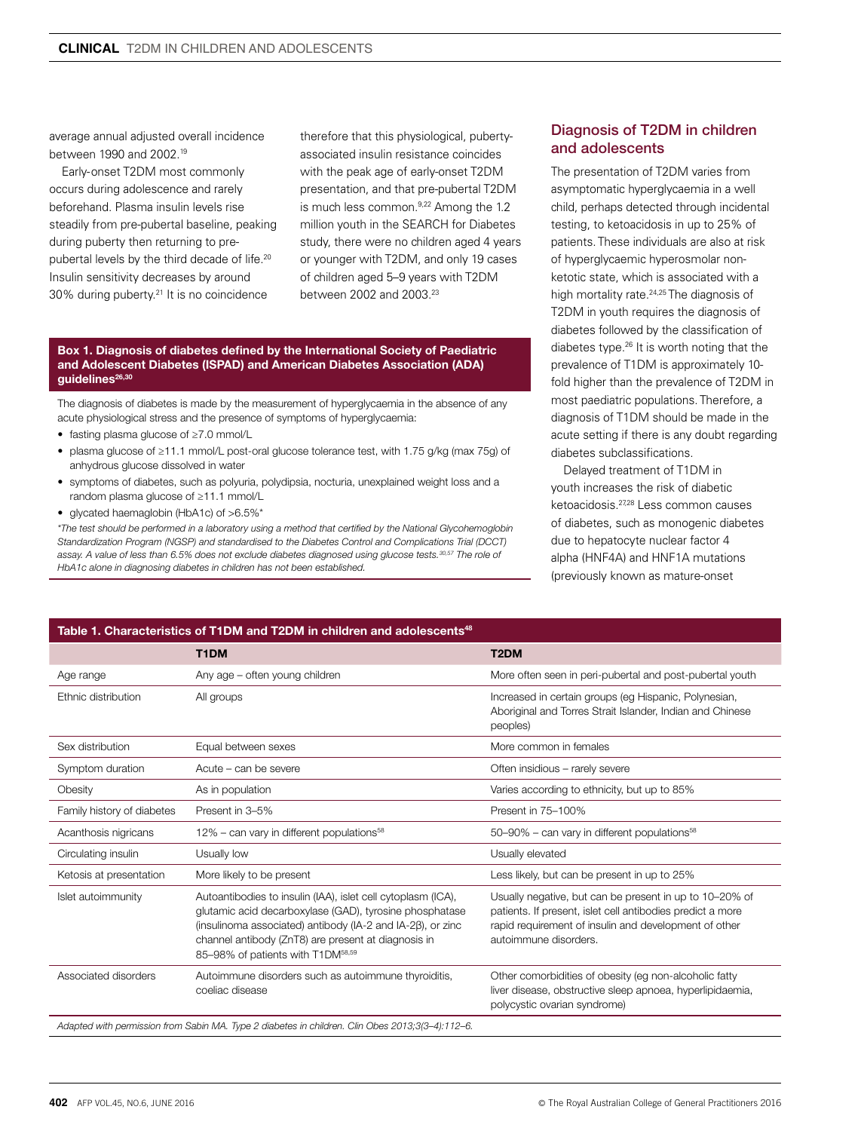average annual adjusted overall incidence between 1990 and 2002.19

Early-onset T2DM most commonly occurs during adolescence and rarely beforehand. Plasma insulin levels rise steadily from pre-pubertal baseline, peaking during puberty then returning to prepubertal levels by the third decade of life.<sup>20</sup> Insulin sensitivity decreases by around 30% during puberty.21 It is no coincidence

therefore that this physiological, pubertyassociated insulin resistance coincides with the peak age of early-onset T2DM presentation, and that pre-pubertal T2DM is much less common.9,22 Among the 1.2 million youth in the SEARCH for Diabetes study, there were no children aged 4 years or younger with T2DM, and only 19 cases of children aged 5–9 years with T2DM between 2002 and 2003.<sup>23</sup>

#### Box 1. Diagnosis of diabetes defined by the International Society of Paediatric and Adolescent Diabetes (ISPAD) and American Diabetes Association (ADA) guidelines<sup>26,30</sup>

The diagnosis of diabetes is made by the measurement of hyperglycaemia in the absence of any acute physiological stress and the presence of symptoms of hyperglycaemia:

- fasting plasma glucose of ≥7.0 mmol/L
- plasma glucose of ≥11.1 mmol/L post-oral glucose tolerance test, with 1.75 g/kg (max 75g) of anhydrous glucose dissolved in water
- symptoms of diabetes, such as polyuria, polydipsia, nocturia, unexplained weight loss and a random plasma glucose of ≥11.1 mmol/L
- glycated haemaglobin (HbA1c) of >6.5%\*

*\*The test should be performed in a laboratory using a method that certified by the National Glycohemoglobin Standardization Program (NGSP) and standardised to the Diabetes Control and Complications Trial (DCCT) assay. A value of less than 6.5% does not exclude diabetes diagnosed using glucose tests.30,57 The role of HbA1c alone in diagnosing diabetes in children has not been established.*

# Diagnosis of T2DM in children and adolescents

The presentation of T2DM varies from asymptomatic hyperglycaemia in a well child, perhaps detected through incidental testing, to ketoacidosis in up to 25% of patients. These individuals are also at risk of hyperglycaemic hyperosmolar nonketotic state, which is associated with a high mortality rate.<sup>24,25</sup> The diagnosis of T2DM in youth requires the diagnosis of diabetes followed by the classification of diabetes type.26 It is worth noting that the prevalence of T1DM is approximately 10 fold higher than the prevalence of T2DM in most paediatric populations. Therefore, a diagnosis of T1DM should be made in the acute setting if there is any doubt regarding diabetes subclassifications.

Delayed treatment of T1DM in youth increases the risk of diabetic ketoacidosis.27,28 Less common causes of diabetes, such as monogenic diabetes due to hepatocyte nuclear factor 4 alpha (HNF4A) and HNF1A mutations (previously known as mature-onset

| Table 1. Characteristics of T1DM and T2DM in children and adolescents $^{\rm 48}$ |                                                                                                                                                                                                                                                                                               |                                                                                                                                                                                                         |  |  |
|-----------------------------------------------------------------------------------|-----------------------------------------------------------------------------------------------------------------------------------------------------------------------------------------------------------------------------------------------------------------------------------------------|---------------------------------------------------------------------------------------------------------------------------------------------------------------------------------------------------------|--|--|
|                                                                                   | T1DM                                                                                                                                                                                                                                                                                          | T <sub>2</sub> DM                                                                                                                                                                                       |  |  |
| Age range                                                                         | Any age - often young children                                                                                                                                                                                                                                                                | More often seen in peri-pubertal and post-pubertal youth                                                                                                                                                |  |  |
| Ethnic distribution                                                               | All groups                                                                                                                                                                                                                                                                                    | Increased in certain groups (eg Hispanic, Polynesian,<br>Aboriginal and Torres Strait Islander, Indian and Chinese<br>peoples)                                                                          |  |  |
| Sex distribution                                                                  | Equal between sexes                                                                                                                                                                                                                                                                           | More common in females                                                                                                                                                                                  |  |  |
| Symptom duration                                                                  | Acute – can be severe                                                                                                                                                                                                                                                                         | Often insidious - rarely severe                                                                                                                                                                         |  |  |
| Obesity                                                                           | As in population                                                                                                                                                                                                                                                                              | Varies according to ethnicity, but up to 85%                                                                                                                                                            |  |  |
| Family history of diabetes                                                        | Present in 3-5%                                                                                                                                                                                                                                                                               | Present in 75-100%                                                                                                                                                                                      |  |  |
| Acanthosis nigricans                                                              | $12\%$ – can vary in different populations <sup>58</sup>                                                                                                                                                                                                                                      | 50-90% - can vary in different populations <sup>58</sup>                                                                                                                                                |  |  |
| Circulating insulin                                                               | Usually low                                                                                                                                                                                                                                                                                   | Usually elevated                                                                                                                                                                                        |  |  |
| Ketosis at presentation                                                           | More likely to be present                                                                                                                                                                                                                                                                     | Less likely, but can be present in up to 25%                                                                                                                                                            |  |  |
| Islet autoimmunity                                                                | Autoantibodies to insulin (IAA), islet cell cytoplasm (ICA),<br>glutamic acid decarboxylase (GAD), tyrosine phosphatase<br>(insulinoma associated) antibody (IA-2 and IA-2B), or zinc<br>channel antibody (ZnT8) are present at diagnosis in<br>85-98% of patients with T1DM <sup>58,59</sup> | Usually negative, but can be present in up to 10-20% of<br>patients. If present, islet cell antibodies predict a more<br>rapid requirement of insulin and development of other<br>autoimmune disorders. |  |  |
| Associated disorders                                                              | Autoimmune disorders such as autoimmune thyroiditis,<br>coeliac disease                                                                                                                                                                                                                       | Other comorbidities of obesity (eq non-alcoholic fatty<br>liver disease, obstructive sleep apnoea, hyperlipidaemia,<br>polycystic ovarian syndrome)                                                     |  |  |
|                                                                                   | Adapted with permission from Sabin MA. Type 2 diabetes in children. Clin Obes 2013;3(3-4):112-6.                                                                                                                                                                                              |                                                                                                                                                                                                         |  |  |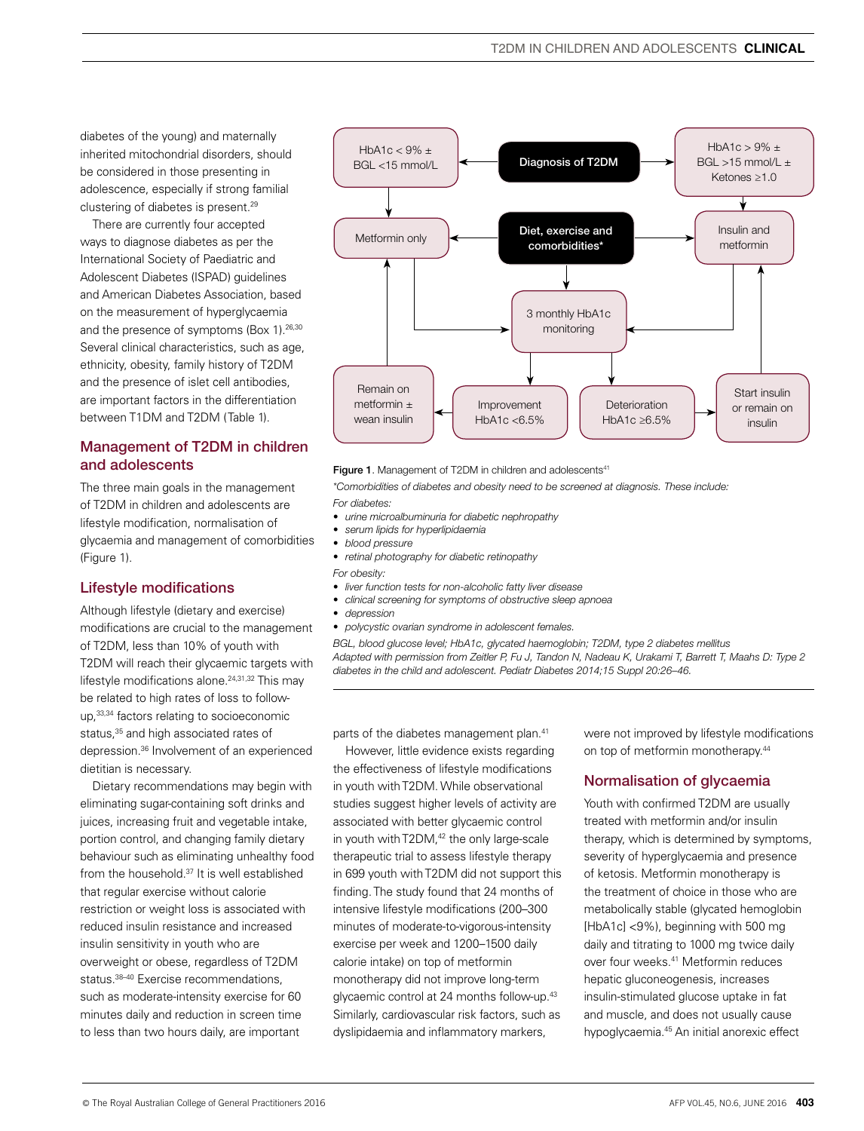diabetes of the young) and maternally inherited mitochondrial disorders, should be considered in those presenting in adolescence, especially if strong familial clustering of diabetes is present.29

There are currently four accepted ways to diagnose diabetes as per the International Society of Paediatric and Adolescent Diabetes (ISPAD) guidelines and American Diabetes Association, based on the measurement of hyperglycaemia and the presence of symptoms (Box 1).<sup>26,30</sup> Several clinical characteristics, such as age, ethnicity, obesity, family history of T2DM and the presence of islet cell antibodies, are important factors in the differentiation between T1DM and T2DM (Table 1).

## Management of T2DM in children and adolescents

The three main goals in the management of T2DM in children and adolescents are lifestyle modification, normalisation of glycaemia and management of comorbidities (Figure 1).

# Lifestyle modifications

Although lifestyle (dietary and exercise) modifications are crucial to the management of T2DM, less than 10% of youth with T2DM will reach their glycaemic targets with lifestyle modifications alone.<sup>24,31,32</sup> This may be related to high rates of loss to followup,33,34 factors relating to socioeconomic status,<sup>35</sup> and high associated rates of depression.36 Involvement of an experienced dietitian is necessary.

Dietary recommendations may begin with eliminating sugar-containing soft drinks and juices, increasing fruit and vegetable intake, portion control, and changing family dietary behaviour such as eliminating unhealthy food from the household.<sup>37</sup> It is well established that regular exercise without calorie restriction or weight loss is associated with reduced insulin resistance and increased insulin sensitivity in youth who are overweight or obese, regardless of T2DM status.<sup>38-40</sup> Exercise recommendations, such as moderate-intensity exercise for 60 minutes daily and reduction in screen time to less than two hours daily, are important



#### Figure 1. Management of T2DM in children and adolescents<sup>41</sup>

*\*Comorbidities of diabetes and obesity need to be screened at diagnosis. These include: For diabetes:*

- *• urine microalbuminuria for diabetic nephropathy*
- *• serum lipids for hyperlipidaemia*
- *• blood pressure*
- *• retinal photography for diabetic retinopathy*
- *For obesity:*
- *• liver function tests for non-alcoholic fatty liver disease*
- *• clinical screening for symptoms of obstructive sleep apnoea*
- *• depression*
- *• polycystic ovarian syndrome in adolescent females.*

*BGL, blood glucose level; HbA1c, glycated haemoglobin; T2DM, type 2 diabetes mellitus Adapted with permission from Zeitler P, Fu J, Tandon N, Nadeau K, Urakami T, Barrett T, Maahs D: Type 2 diabetes in the child and adolescent. Pediatr Diabetes 2014;15 Suppl 20:26–46.*

parts of the diabetes management plan.41

However, little evidence exists regarding the effectiveness of lifestyle modifications in youth with T2DM. While observational studies suggest higher levels of activity are associated with better glycaemic control in youth with T2DM,<sup>42</sup> the only large-scale therapeutic trial to assess lifestyle therapy in 699 youth with T2DM did not support this finding. The study found that 24 months of intensive lifestyle modifications (200–300 minutes of moderate-to-vigorous-intensity exercise per week and 1200–1500 daily calorie intake) on top of metformin monotherapy did not improve long-term glycaemic control at 24 months follow-up.<sup>43</sup> Similarly, cardiovascular risk factors, such as dyslipidaemia and inflammatory markers,

were not improved by lifestyle modifications on top of metformin monotherapy.<sup>44</sup>

### Normalisation of glycaemia

Youth with confirmed T2DM are usually treated with metformin and/or insulin therapy, which is determined by symptoms, severity of hyperglycaemia and presence of ketosis. Metformin monotherapy is the treatment of choice in those who are metabolically stable (glycated hemoglobin [HbA1c] <9%), beginning with 500 mg daily and titrating to 1000 mg twice daily over four weeks.<sup>41</sup> Metformin reduces hepatic gluconeogenesis, increases insulin-stimulated glucose uptake in fat and muscle, and does not usually cause hypoglycaemia.45 An initial anorexic effect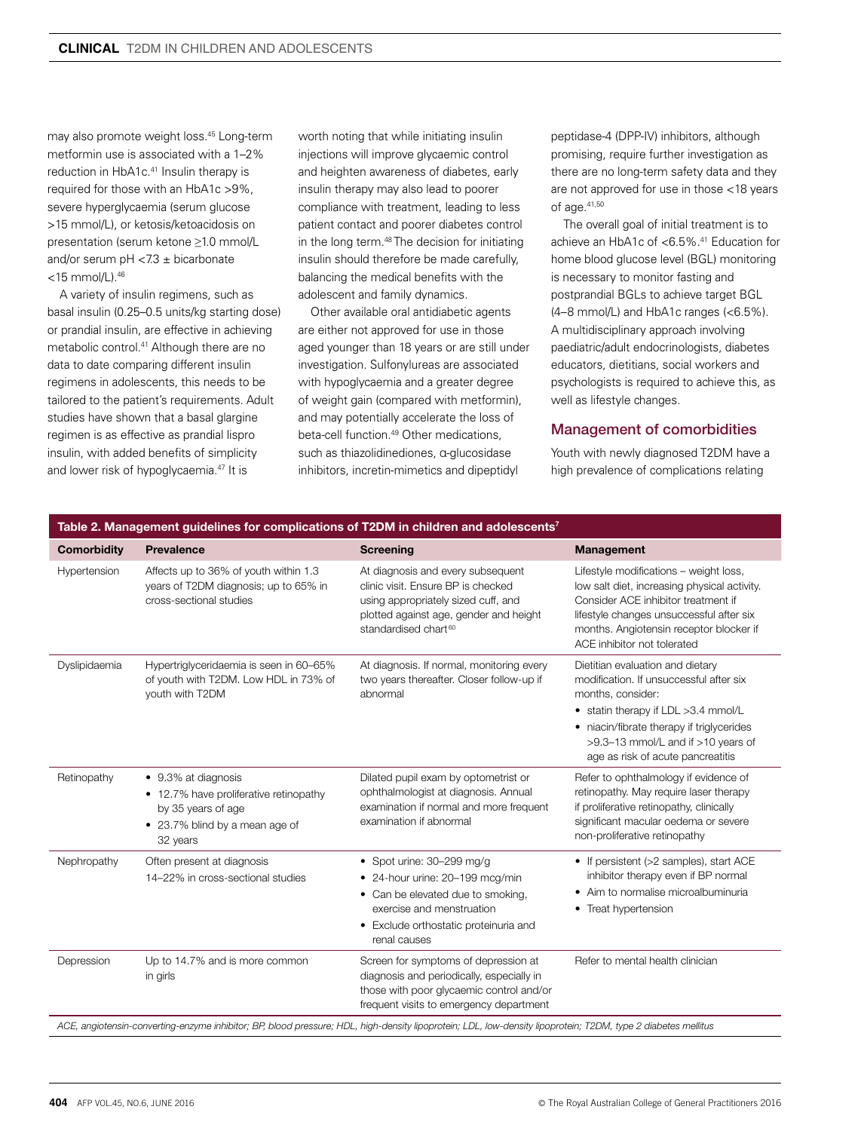may also promote weight loss.45 Long-term metformin use is associated with a 1–2% reduction in HbA1c.41 Insulin therapy is required for those with an HbA1c >9%, severe hyperglycaemia (serum glucose >15 mmol/L), or ketosis/ketoacidosis on presentation (serum ketone ≥1.0 mmol/L and/or serum pH  $< 7.3 \pm$  bicarbonate  $<$ 15 mmol/L). $46$ 

A variety of insulin regimens, such as basal insulin (0.25–0.5 units/kg starting dose) or prandial insulin, are effective in achieving metabolic control.41 Although there are no data to date comparing different insulin regimens in adolescents, this needs to be tailored to the patient's requirements. Adult studies have shown that a basal glargine regimen is as effective as prandial lispro insulin, with added benefits of simplicity and lower risk of hypoglycaemia.47 It is

worth noting that while initiating insulin injections will improve glycaemic control and heighten awareness of diabetes, early insulin therapy may also lead to poorer compliance with treatment, leading to less patient contact and poorer diabetes control in the long term.48 The decision for initiating insulin should therefore be made carefully, balancing the medical benefits with the adolescent and family dynamics.

Other available oral antidiabetic agents are either not approved for use in those aged younger than 18 years or are still under investigation. Sulfonylureas are associated with hypoglycaemia and a greater degree of weight gain (compared with metformin), and may potentially accelerate the loss of beta-cell function.<sup>49</sup> Other medications, such as thiazolidinediones, α-glucosidase inhibitors, incretin-mimetics and dipeptidyl

peptidase-4 (DPP-IV) inhibitors, although promising, require further investigation as there are no long-term safety data and they are not approved for use in those <18 years of age.41,50

The overall goal of initial treatment is to achieve an HbA1c of <6.5%.<sup>41</sup> Education for home blood glucose level (BGL) monitoring is necessary to monitor fasting and postprandial BGLs to achieve target BGL (4–8 mmol/L) and HbA1c ranges (<6.5%). A multidisciplinary approach involving paediatric/adult endocrinologists, diabetes educators, dietitians, social workers and psychologists is required to achieve this, as well as lifestyle changes.

## Management of comorbidities

Youth with newly diagnosed T2DM have a high prevalence of complications relating

| <b>Comorbidity</b> | <b>Prevalence</b>                                                                                                                 | <b>Screening</b>                                                                                                                                                                             | <b>Management</b>                                                                                                                                                                                                                                               |
|--------------------|-----------------------------------------------------------------------------------------------------------------------------------|----------------------------------------------------------------------------------------------------------------------------------------------------------------------------------------------|-----------------------------------------------------------------------------------------------------------------------------------------------------------------------------------------------------------------------------------------------------------------|
| Hypertension       | Affects up to 36% of youth within 1.3<br>years of T2DM diagnosis; up to 65% in<br>cross-sectional studies                         | At diagnosis and every subsequent<br>clinic visit. Ensure BP is checked<br>using appropriately sized cuff, and<br>plotted against age, gender and height<br>standardised chart <sup>60</sup> | Lifestyle modifications - weight loss,<br>low salt diet, increasing physical activity.<br>Consider ACE inhibitor treatment if<br>lifestyle changes unsuccessful after six<br>months. Angiotensin receptor blocker if<br>ACE inhibitor not tolerated             |
| Dyslipidaemia      | Hypertriglyceridaemia is seen in 60-65%<br>of youth with T2DM. Low HDL in 73% of<br>youth with T2DM                               | At diagnosis. If normal, monitoring every<br>two years thereafter. Closer follow-up if<br>abnormal                                                                                           | Dietitian evaluation and dietary<br>modification. If unsuccessful after six<br>months, consider:<br>• statin therapy if LDL >3.4 mmol/L<br>• niacin/fibrate therapy if triglycerides<br>>9.3-13 mmol/L and if >10 years of<br>age as risk of acute pancreatitis |
| Retinopathy        | • 9.3% at diagnosis<br>• 12.7% have proliferative retinopathy<br>by 35 years of age<br>• 23.7% blind by a mean age of<br>32 years | Dilated pupil exam by optometrist or<br>ophthalmologist at diagnosis. Annual<br>examination if normal and more frequent<br>examination if abnormal                                           | Refer to ophthalmology if evidence of<br>retinopathy. May require laser therapy<br>if proliferative retinopathy, clinically<br>significant macular oedema or severe<br>non-proliferative retinopathy                                                            |
| Nephropathy        | Often present at diagnosis<br>14-22% in cross-sectional studies                                                                   | • Spot urine: $30-299$ mg/g<br>• 24-hour urine: 20-199 mcg/min<br>• Can be elevated due to smoking,<br>exercise and menstruation<br>• Exclude orthostatic proteinuria and<br>renal causes    | • If persistent (>2 samples), start ACE<br>inhibitor therapy even if BP normal<br>• Aim to normalise microalbuminuria<br>• Treat hypertension                                                                                                                   |
| Depression         | Up to 14.7% and is more common<br>in girls                                                                                        | Screen for symptoms of depression at<br>diagnosis and periodically, especially in<br>those with poor glycaemic control and/or<br>frequent visits to emergency department                     | Refer to mental health clinician                                                                                                                                                                                                                                |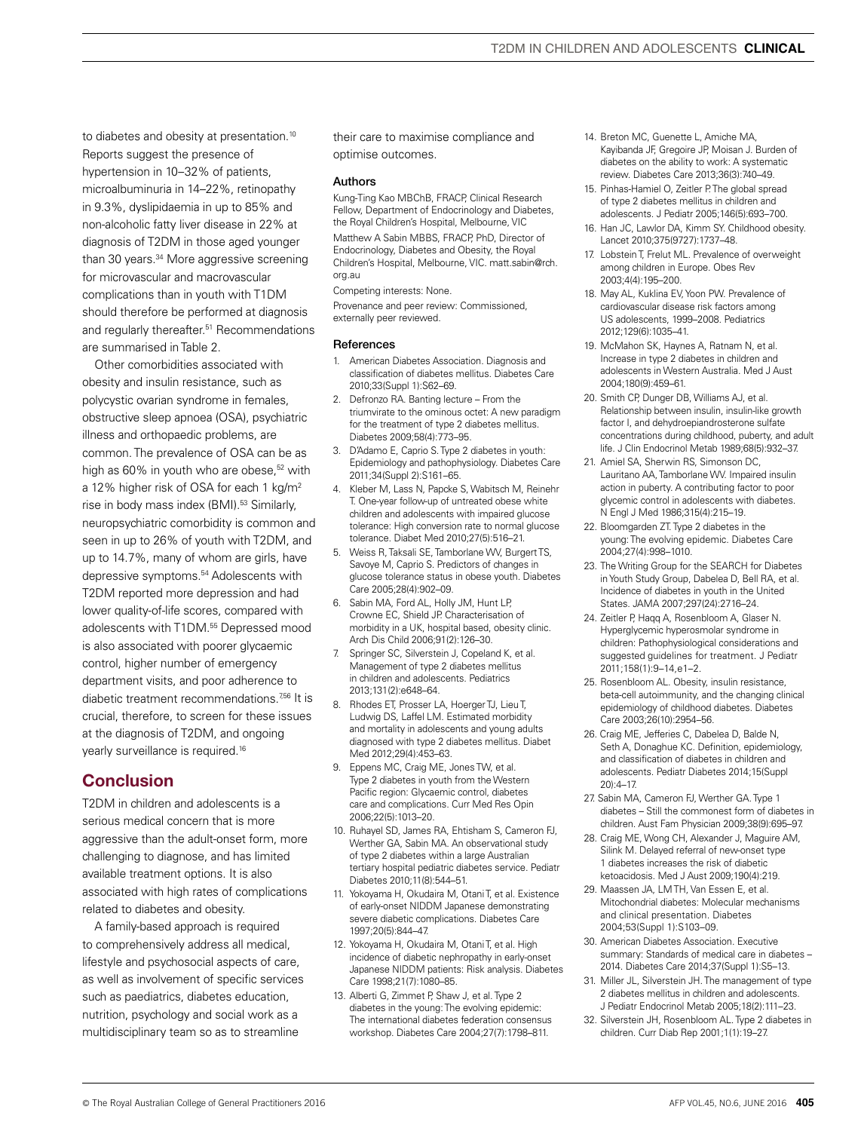to diabetes and obesity at presentation.<sup>10</sup> Reports suggest the presence of hypertension in 10–32% of patients, microalbuminuria in 14–22%, retinopathy in 9.3%, dyslipidaemia in up to 85% and non-alcoholic fatty liver disease in 22% at diagnosis of T2DM in those aged younger than 30 years.<sup>34</sup> More aggressive screening for microvascular and macrovascular complications than in youth with T1DM should therefore be performed at diagnosis and regularly thereafter.<sup>51</sup> Recommendations are summarised in Table 2.

Other comorbidities associated with obesity and insulin resistance, such as polycystic ovarian syndrome in females, obstructive sleep apnoea (OSA), psychiatric illness and orthopaedic problems, are common. The prevalence of OSA can be as high as 60% in youth who are obese,<sup>52</sup> with a 12% higher risk of OSA for each 1 kg/m2 rise in body mass index (BMI).<sup>53</sup> Similarly, neuropsychiatric comorbidity is common and seen in up to 26% of youth with T2DM, and up to 14.7%, many of whom are girls, have depressive symptoms.54 Adolescents with T2DM reported more depression and had lower quality-of-life scores, compared with adolescents with T1DM.<sup>55</sup> Depressed mood is also associated with poorer glycaemic control, higher number of emergency department visits, and poor adherence to diabetic treatment recommendations.<sup>756</sup> It is crucial, therefore, to screen for these issues at the diagnosis of T2DM, and ongoing yearly surveillance is required.16

# Conclusion

T2DM in children and adolescents is a serious medical concern that is more aggressive than the adult-onset form, more challenging to diagnose, and has limited available treatment options. It is also associated with high rates of complications related to diabetes and obesity.

A family-based approach is required to comprehensively address all medical, lifestyle and psychosocial aspects of care, as well as involvement of specific services such as paediatrics, diabetes education, nutrition, psychology and social work as a multidisciplinary team so as to streamline

their care to maximise compliance and optimise outcomes.

#### Authors

Kung-Ting Kao MBChB, FRACP, Clinical Research Fellow, Department of Endocrinology and Diabetes, the Royal Children's Hospital, Melbourne, VIC Matthew A Sabin MBBS, FRACP, PhD, Director of Endocrinology, Diabetes and Obesity, the Royal Children's Hospital, Melbourne, VIC. matt.sabin@rch. org.au

Competing interests: None.

Provenance and peer review: Commissioned, externally peer reviewed.

#### **References**

- 1. American Diabetes Association. Diagnosis and classification of diabetes mellitus. Diabetes Care 2010;33(Suppl 1):S62–69.
- 2. Defronzo RA. Banting lecture From the triumvirate to the ominous octet: A new paradigm for the treatment of type 2 diabetes mellitus. Diabetes 2009;58(4):773–95.
- 3. D'Adamo E, Caprio S. Type 2 diabetes in youth: Epidemiology and pathophysiology. Diabetes Care 2011;34(Suppl 2):S161–65.
- 4. Kleber M, Lass N, Papcke S, Wabitsch M, Reinehr T. One-year follow-up of untreated obese white children and adolescents with impaired glucose tolerance: High conversion rate to normal glucose tolerance. Diabet Med 2010;27(5):516–21.
- 5. Weiss R, Taksali SE, Tamborlane WV, Burgert TS, Savoye M, Caprio S. Predictors of changes in glucose tolerance status in obese youth. Diabetes Care 2005;28(4):902–09.
- 6. Sabin MA, Ford AL, Holly JM, Hunt LP, Crowne EC, Shield JP. Characterisation of morbidity in a UK, hospital based, obesity clinic. Arch Dis Child 2006;91(2):126–30.
- 7. Springer SC, Silverstein J, Copeland K, et al. Management of type 2 diabetes mellitus in children and adolescents. Pediatrics 2013;131(2):e648–64.
- 8. Rhodes ET, Prosser LA, Hoerger TJ, Lieu T, Ludwig DS, Laffel LM. Estimated morbidity and mortality in adolescents and young adults diagnosed with type 2 diabetes mellitus. Diabet Med 2012;29(4):453–63.
- 9. Eppens MC, Craig ME, Jones TW, et al. Type 2 diabetes in youth from the Western Pacific region: Glycaemic control, diabetes care and complications. Curr Med Res Opin 2006;22(5):1013–20.
- 10. Ruhayel SD, James RA, Ehtisham S, Cameron FJ, Werther GA, Sabin MA. An observational study of type 2 diabetes within a large Australian tertiary hospital pediatric diabetes service. Pediatr Diabetes 2010;11(8):544–51.
- 11. Yokoyama H, Okudaira M, Otani T, et al. Existence of early-onset NIDDM Japanese demonstrating severe diabetic complications. Diabetes Care 1997;20(5):844–47.
- 12. Yokoyama H, Okudaira M, Otani T, et al. High incidence of diabetic nephropathy in early-onset Japanese NIDDM patients: Risk analysis. Diabetes Care 1998;21(7):1080–85.
- 13. Alberti G, Zimmet P, Shaw J, et al. Type 2 diabetes in the young: The evolving epidemic: The international diabetes federation consensus workshop. Diabetes Care 2004;27(7):1798–811.
- 14. Breton MC, Guenette L, Amiche MA, Kayibanda JF, Gregoire JP, Moisan J. Burden of diabetes on the ability to work: A systematic review. Diabetes Care 2013;36(3):740–49.
- 15. Pinhas-Hamiel O, Zeitler P. The global spread of type 2 diabetes mellitus in children and adolescents. J Pediatr 2005;146(5):693–700.
- 16. Han JC, Lawlor DA, Kimm SY. Childhood obesity. Lancet 2010;375(9727):1737–48.
- 17. Lobstein T, Frelut ML. Prevalence of overweight among children in Europe. Obes Rev 2003;4(4):195–200.
- 18. May AL, Kuklina EV, Yoon PW. Prevalence of cardiovascular disease risk factors among US adolescents, 1999–2008. Pediatrics 2012;129(6):1035–41.
- 19. McMahon SK, Haynes A, Ratnam N, et al. Increase in type 2 diabetes in children and adolescents in Western Australia. Med J Aust 2004;180(9):459–61.
- 20. Smith CP, Dunger DB, Williams AJ, et al. Relationship between insulin, insulin-like growth factor I, and dehydroepiandrosterone sulfate concentrations during childhood, puberty, and adult life. J Clin Endocrinol Metab 1989;68(5):932–37.
- 21. Amiel SA, Sherwin RS, Simonson DC, Lauritano AA, Tamborlane WV. Impaired insulin action in puberty. A contributing factor to poor glycemic control in adolescents with diabetes. N Engl J Med 1986;315(4):215–19.
- 22. Bloomgarden ZT. Type 2 diabetes in the young: The evolving epidemic. Diabetes Care 2004;27(4):998–1010.
- 23. The Writing Group for the SEARCH for Diabetes in Youth Study Group, Dabelea D, Bell RA, et al. Incidence of diabetes in youth in the United States. JAMA 2007;297(24):2716–24.
- 24. Zeitler P, Haqq A, Rosenbloom A, Glaser N. Hyperglycemic hyperosmolar syndrome in children: Pathophysiological considerations and suggested guidelines for treatment. J Pediatr 2011;158(1):9–14,e1–2.
- 25. Rosenbloom AL. Obesity, insulin resistance, beta-cell autoimmunity, and the changing clinical epidemiology of childhood diabetes. Diabetes Care 2003;26(10):2954–56.
- 26. Craig ME, Jefferies C, Dabelea D, Balde N, Seth A, Donaghue KC. Definition, epidemiology, and classification of diabetes in children and adolescents. Pediatr Diabetes 2014;15(Suppl 20):4–17.
- 27. Sabin MA, Cameron FJ, Werther GA. Type 1 diabetes – Still the commonest form of diabetes in children. Aust Fam Physician 2009;38(9):695–97.
- 28. Craig ME, Wong CH, Alexander J, Maguire AM, Silink M. Delayed referral of new-onset type 1 diabetes increases the risk of diabetic ketoacidosis. Med J Aust 2009;190(4):219.
- 29. Maassen JA, LM TH, Van Essen E, et al. Mitochondrial diabetes: Molecular mechanisms and clinical presentation. Diabetes 2004;53(Suppl 1):S103–09.
- 30. American Diabetes Association. Executive summary: Standards of medical care in diabetes – 2014. Diabetes Care 2014;37(Suppl 1):S5–13.
- 31. Miller JL, Silverstein JH. The management of type 2 diabetes mellitus in children and adolescents. J Pediatr Endocrinol Metab 2005;18(2):111–23.
- 32. Silverstein JH, Rosenbloom AL. Type 2 diabetes in children. Curr Diab Rep 2001;1(1):19–27.